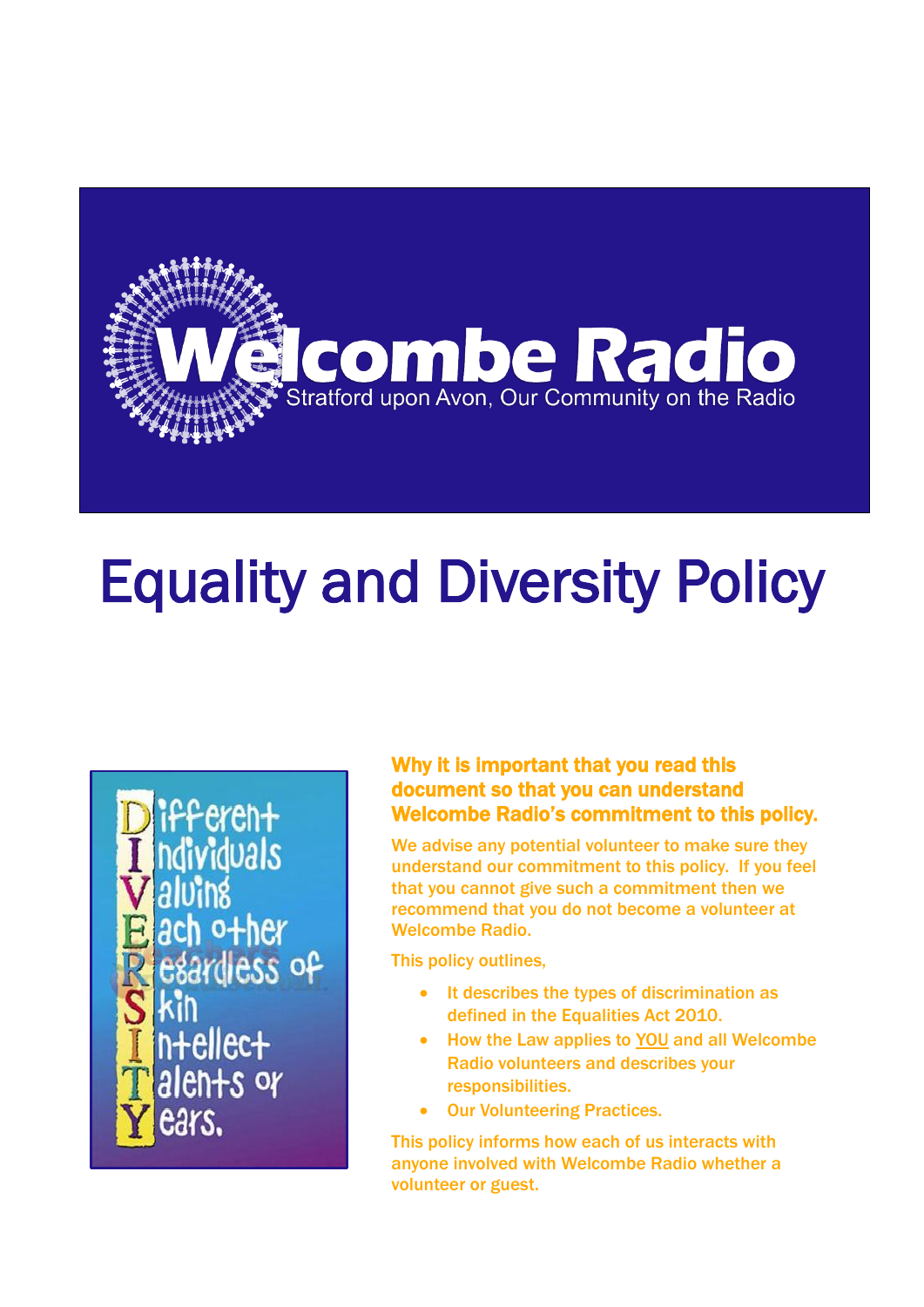

# Equality and Diversity Policy

**ferent** dividuals ach o+her esardiess of n+ellec+ alen+s or ears.

#### Why it is important that you read this document so that you can understand Welcombe Radio's commitment to this policy.

We advise any potential volunteer to make sure they understand our commitment to this policy. If you feel that you cannot give such a commitment then we recommend that you do not become a volunteer at Welcombe Radio.

This policy outlines,

- It describes the types of discrimination as defined in the Equalities Act 2010.
- How the Law applies to YOU and all Welcombe Radio volunteers and describes your responsibilities.
- Our Volunteering Practices.

This policy informs how each of us interacts with anyone involved with Welcombe Radio whether a volunteer or guest.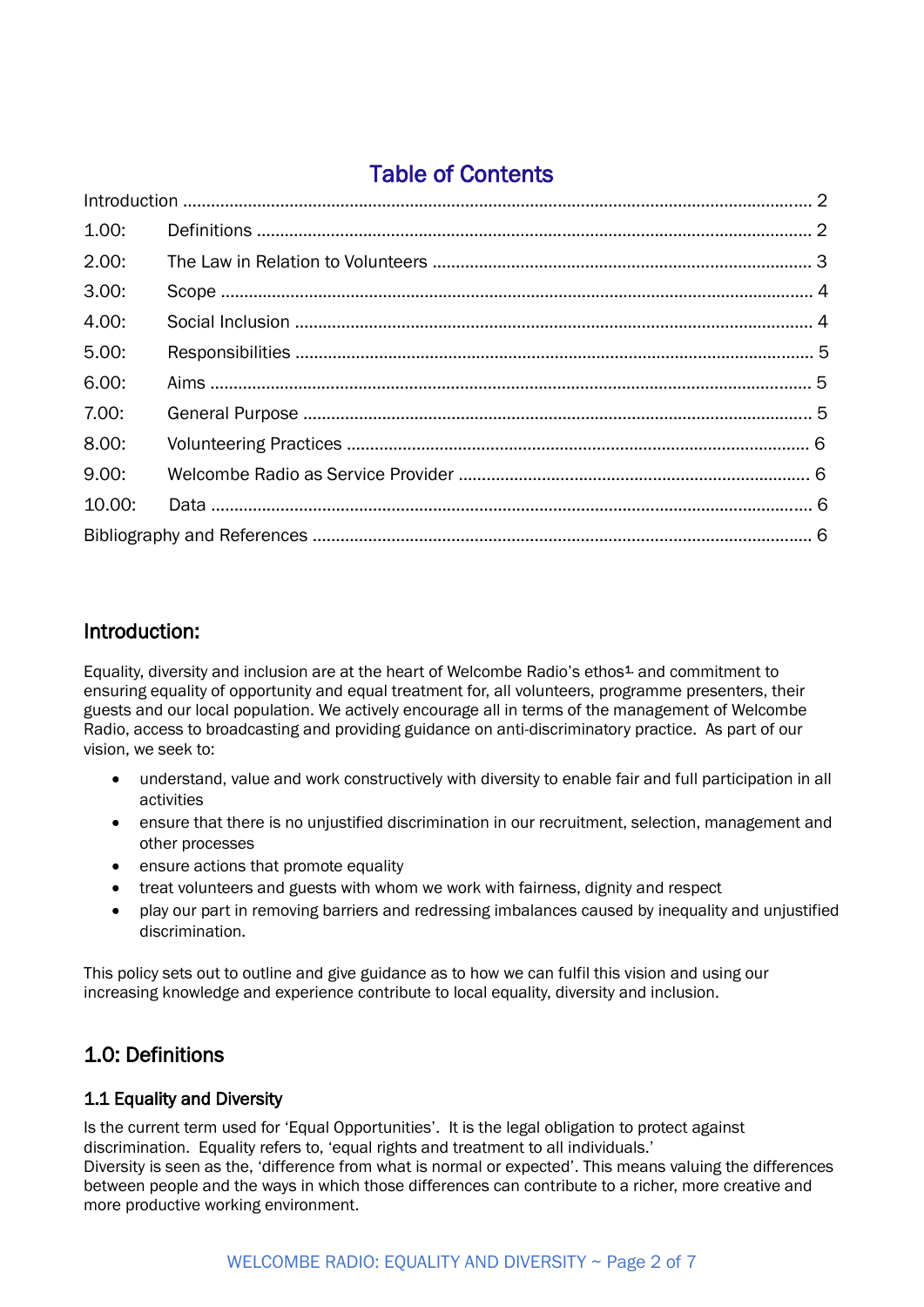## Table of Contents

| 1.00:  |  |  |  |  |
|--------|--|--|--|--|
| 2.00:  |  |  |  |  |
| 3.00:  |  |  |  |  |
| 4.00:  |  |  |  |  |
| 5.00:  |  |  |  |  |
| 6.00:  |  |  |  |  |
| 7.00:  |  |  |  |  |
| 8.00:  |  |  |  |  |
| 9.00:  |  |  |  |  |
| 10.00: |  |  |  |  |
|        |  |  |  |  |

#### Introduction:

Equality, diversity and inclusion are at the heart of Welcombe Radio's ethos<sup>1</sup> and commitment to ensuring equality of opportunity and equal treatment for, all volunteers, programme presenters, their guests and our local population. We actively encourage all in terms of the management of Welcombe Radio, access to broadcasting and providing guidance on anti-discriminatory practice. As part of our vision, we seek to:

- understand, value and work constructively with diversity to enable fair and full participation in all activities
- ensure that there is no unjustified discrimination in our recruitment, selection, management and other processes
- ensure actions that promote equality
- treat volunteers and guests with whom we work with fairness, dignity and respect
- play our part in removing barriers and redressing imbalances caused by inequality and unjustified discrimination.

This policy sets out to outline and give guidance as to how we can fulfil this vision and using our increasing knowledge and experience contribute to local equality, diversity and inclusion.

## 1.0: Definitions

#### 1.1 Equality and Diversity

Is the current term used for 'Equal Opportunities'. It is the legal obligation to protect against discrimination. Equality refers to, 'equal rights and treatment to all individuals.' Diversity is seen as the, 'difference from what is normal or expected'. This means valuing the differences between people and the ways in which those differences can contribute to a richer, more creative and more productive working environment.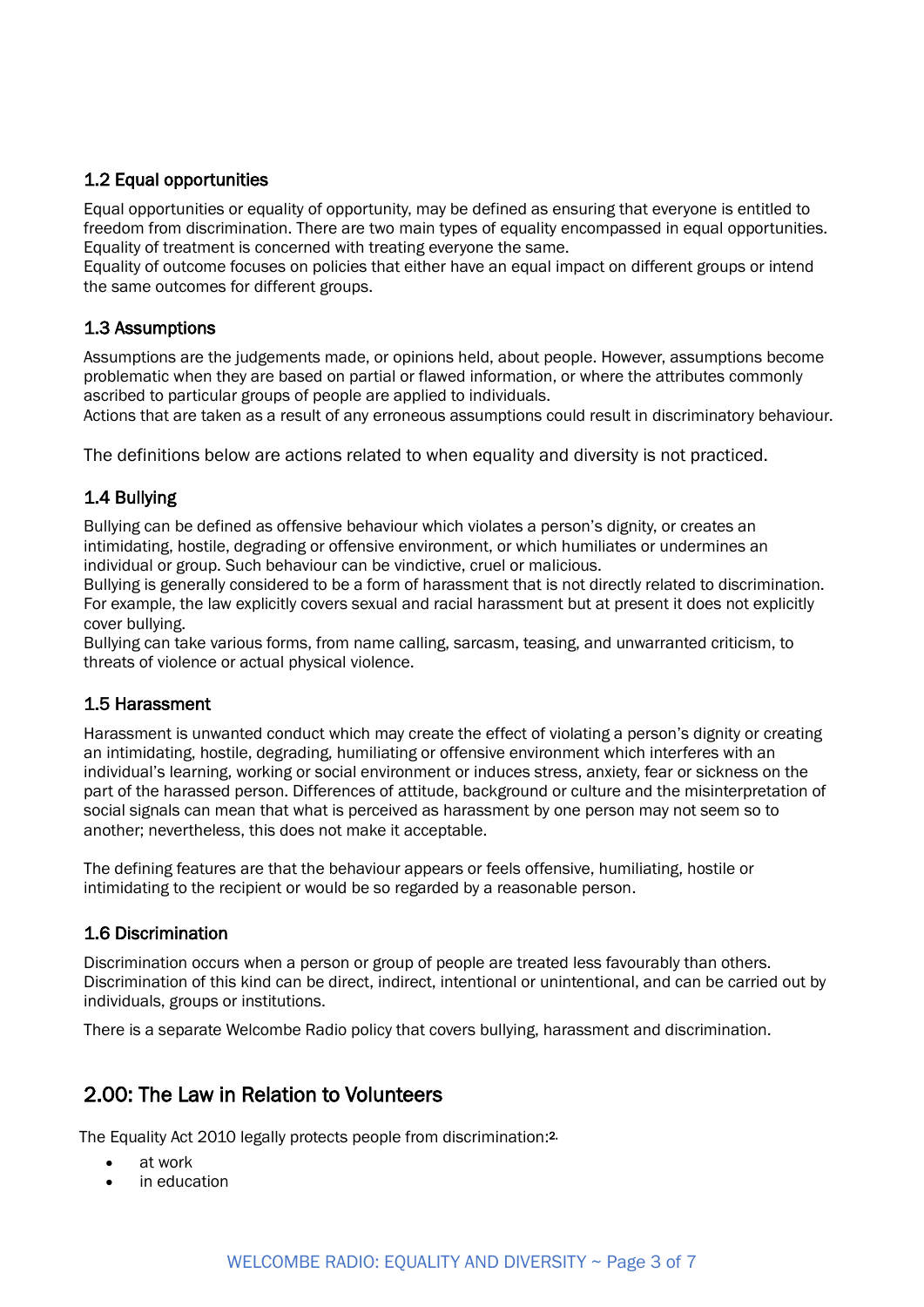#### 1.2 Equal opportunities

Equal opportunities or equality of opportunity, may be defined as ensuring that everyone is entitled to freedom from discrimination. There are two main types of equality encompassed in equal opportunities. Equality of treatment is concerned with treating everyone the same.

Equality of outcome focuses on policies that either have an equal impact on different groups or intend the same outcomes for different groups.

#### 1.3 Assumptions

Assumptions are the judgements made, or opinions held, about people. However, assumptions become problematic when they are based on partial or flawed information, or where the attributes commonly ascribed to particular groups of people are applied to individuals.

Actions that are taken as a result of any erroneous assumptions could result in discriminatory behaviour.

The definitions below are actions related to when equality and diversity is not practiced.

#### 1.4 Bullying

Bullying can be defined as offensive behaviour which violates a person's dignity, or creates an intimidating, hostile, degrading or offensive environment, or which humiliates or undermines an individual or group. Such behaviour can be vindictive, cruel or malicious.

Bullying is generally considered to be a form of harassment that is not directly related to discrimination. For example, the law explicitly covers sexual and racial harassment but at present it does not explicitly cover bullying.

Bullying can take various forms, from name calling, sarcasm, teasing, and unwarranted criticism, to threats of violence or actual physical violence.

#### 1.5 Harassment

Harassment is unwanted conduct which may create the effect of violating a person's dignity or creating an intimidating, hostile, degrading, humiliating or offensive environment which interferes with an individual's learning, working or social environment or induces stress, anxiety, fear or sickness on the part of the harassed person. Differences of attitude, background or culture and the misinterpretation of social signals can mean that what is perceived as harassment by one person may not seem so to another; nevertheless, this does not make it acceptable.

The defining features are that the behaviour appears or feels offensive, humiliating, hostile or intimidating to the recipient or would be so regarded by a reasonable person.

#### 1.6 Discrimination

Discrimination occurs when a person or group of people are treated less favourably than others. Discrimination of this kind can be direct, indirect, intentional or unintentional, and can be carried out by individuals, groups or institutions.

There is a separate Welcombe Radio policy that covers bullying, harassment and discrimination.

#### 2.00: The Law in Relation to Volunteers

The Equality Act 2010 legally protects people from discrimination:<sup>2.</sup>

- at work
- in education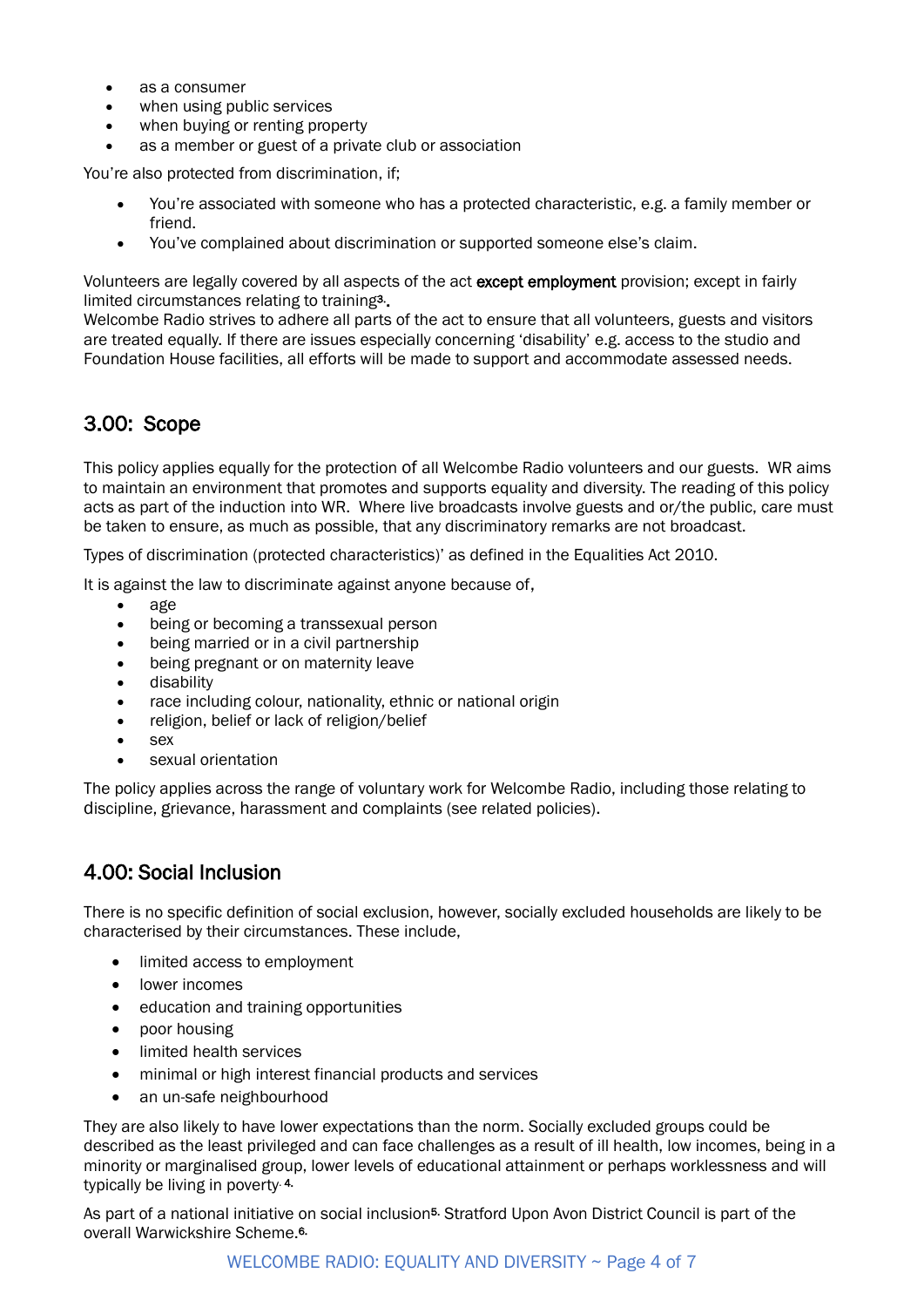- as a consumer
- when using public services
- when buying or renting property
- as a member or guest of a private club or association

You're also protected from discrimination, if;

- You're associated with someone who has a protected characteristic, e.g. a family member or friend.
- You've complained about discrimination or supported someone else's claim.

Volunteers are legally covered by all aspects of the act except employment provision; except in fairly limited circumstances relating to training<sup>3</sup>.

Welcombe Radio strives to adhere all parts of the act to ensure that all volunteers, guests and visitors are treated equally. If there are issues especially concerning 'disability' e.g. access to the studio and Foundation House facilities, all efforts will be made to support and accommodate assessed needs.

## 3.00: Scope

This policy applies equally for the protection of all Welcombe Radio volunteers and our guests. WR aims to maintain an environment that promotes and supports equality and diversity. The reading of this policy acts as part of the induction into WR. Where live broadcasts involve guests and or/the public, care must be taken to ensure, as much as possible, that any discriminatory remarks are not broadcast.

Types of discrimination (protected characteristics)' as defined in the Equalities Act 2010.

It is against the law to discriminate against anyone because of,

- age
- being or becoming a transsexual person
- being married or in a civil partnership
- being [pregnant](https://www.gov.uk/working-when-pregnant-your-rights) or on maternity leave
- [disability](https://www.gov.uk/definition-of-disability-under-equality-act-2010)
- race including colour, nationality, ethnic or national origin
- religion, belief or lack of religion/belief
- sex
- sexual orientation

The policy applies across the range of voluntary work for Welcombe Radio, including those relating to discipline, grievance, harassment and complaints (see related policies).

#### 4.00: Social Inclusion

There is no specific definition of social exclusion, however, socially excluded households are likely to be characterised by their circumstances. These include,

- limited access to employment
- lower incomes
- education and training opportunities
- poor housing
- limited health services
- minimal or high interest financial products and services
- an un-safe neighbourhood

They are also likely to have lower expectations than the norm. Socially excluded groups could be described as the least privileged and can face challenges as a result of ill health, low incomes, being in a minority or marginalised group, lower levels of educational attainment or perhaps worklessness and will typically be living in poverty. 4.

As part of a national initiative on social inclusion<sup>5.</sup> Stratford Upon Avon District Council is part of the overall Warwickshire Scheme. 6.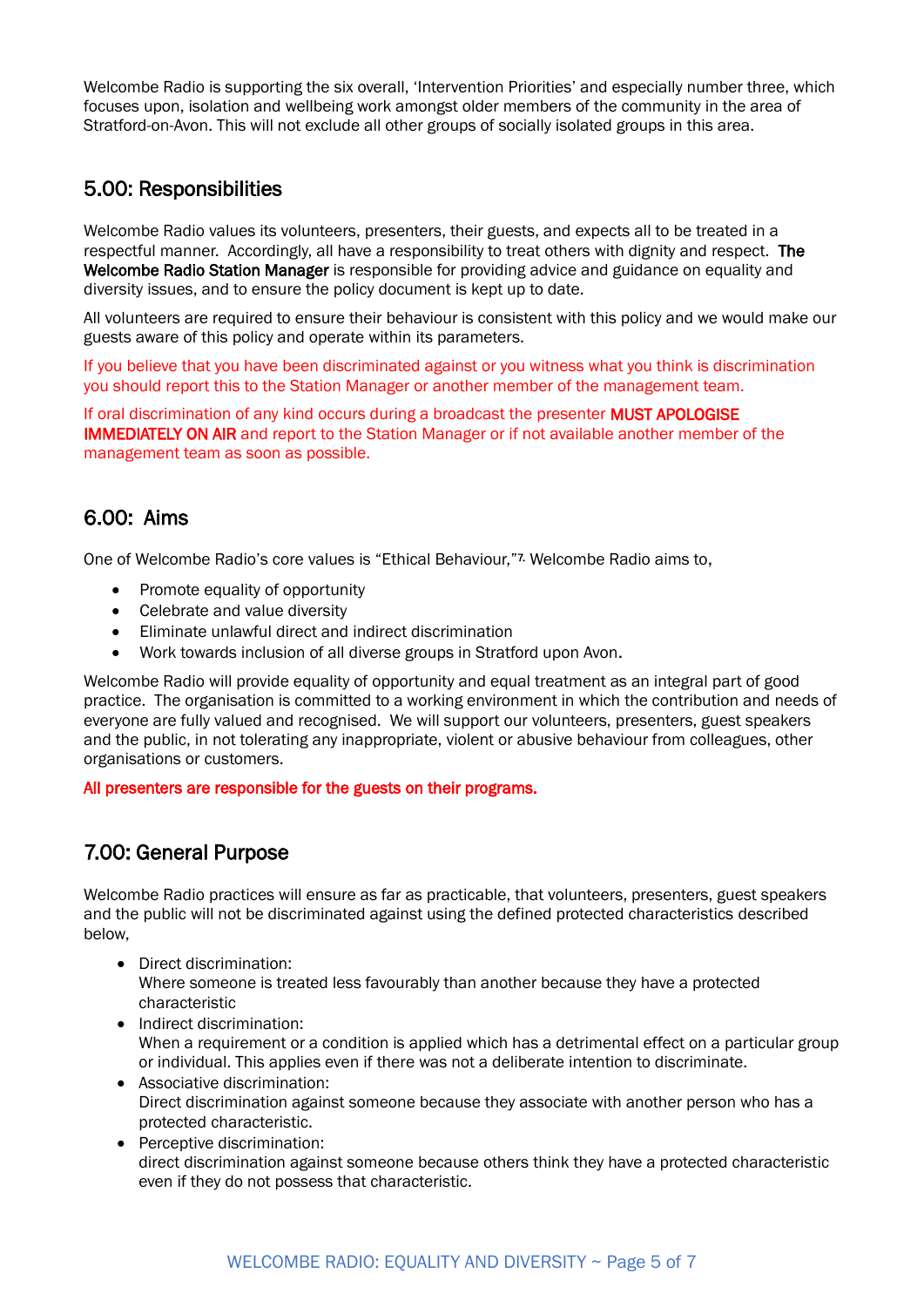Welcombe Radio is supporting the six overall, 'Intervention Priorities' and especially number three, which focuses upon, isolation and wellbeing work amongst older members of the community in the area of Stratford-on-Avon. This will not exclude all other groups of socially isolated groups in this area.

#### 5.00: Responsibilities

Welcombe Radio values its volunteers, presenters, their guests, and expects all to be treated in a respectful manner. Accordingly, all have a responsibility to treat others with dignity and respect. The Welcombe Radio Station Manager is responsible for providing advice and guidance on equality and diversity issues, and to ensure the policy document is kept up to date.

All volunteers are required to ensure their behaviour is consistent with this policy and we would make our guests aware of this policy and operate within its parameters.

If you believe that you have been discriminated against or you witness what you think is discrimination you should report this to the Station Manager or another member of the management team.

If oral discrimination of any kind occurs during a broadcast the presenter MUST APOLOGISE IMMEDIATELY ON AIR and report to the Station Manager or if not available another member of the management team as soon as possible.

## 6.00: Aims

One of Welcombe Radio's core values is "Ethical Behaviour,"7. Welcombe Radio aims to,

- Promote equality of opportunity
- Celebrate and value diversity
- Eliminate unlawful direct and indirect discrimination
- Work towards inclusion of all diverse groups in Stratford upon Avon.

Welcombe Radio will provide equality of opportunity and equal treatment as an integral part of good practice. The organisation is committed to a working environment in which the contribution and needs of everyone are fully valued and recognised. We will support our volunteers, presenters, guest speakers and the public, in not tolerating any inappropriate, violent or abusive behaviour from colleagues, other organisations or customers.

All presenters are responsible for the guests on their programs.

## 7.00: General Purpose

Welcombe Radio practices will ensure as far as practicable, that volunteers, presenters, guest speakers and the public will not be discriminated against using the defined protected characteristics described below,

- Direct discrimination: Where someone is treated less favourably than another because they have a protected characteristic
- Indirect discrimination: When a requirement or a condition is applied which has a detrimental effect on a particular group or individual. This applies even if there was not a deliberate intention to discriminate.
- Associative discrimination: Direct discrimination against someone because they associate with another person who has a protected characteristic.
- Perceptive discrimination: direct discrimination against someone because others think they have a protected characteristic even if they do not possess that characteristic.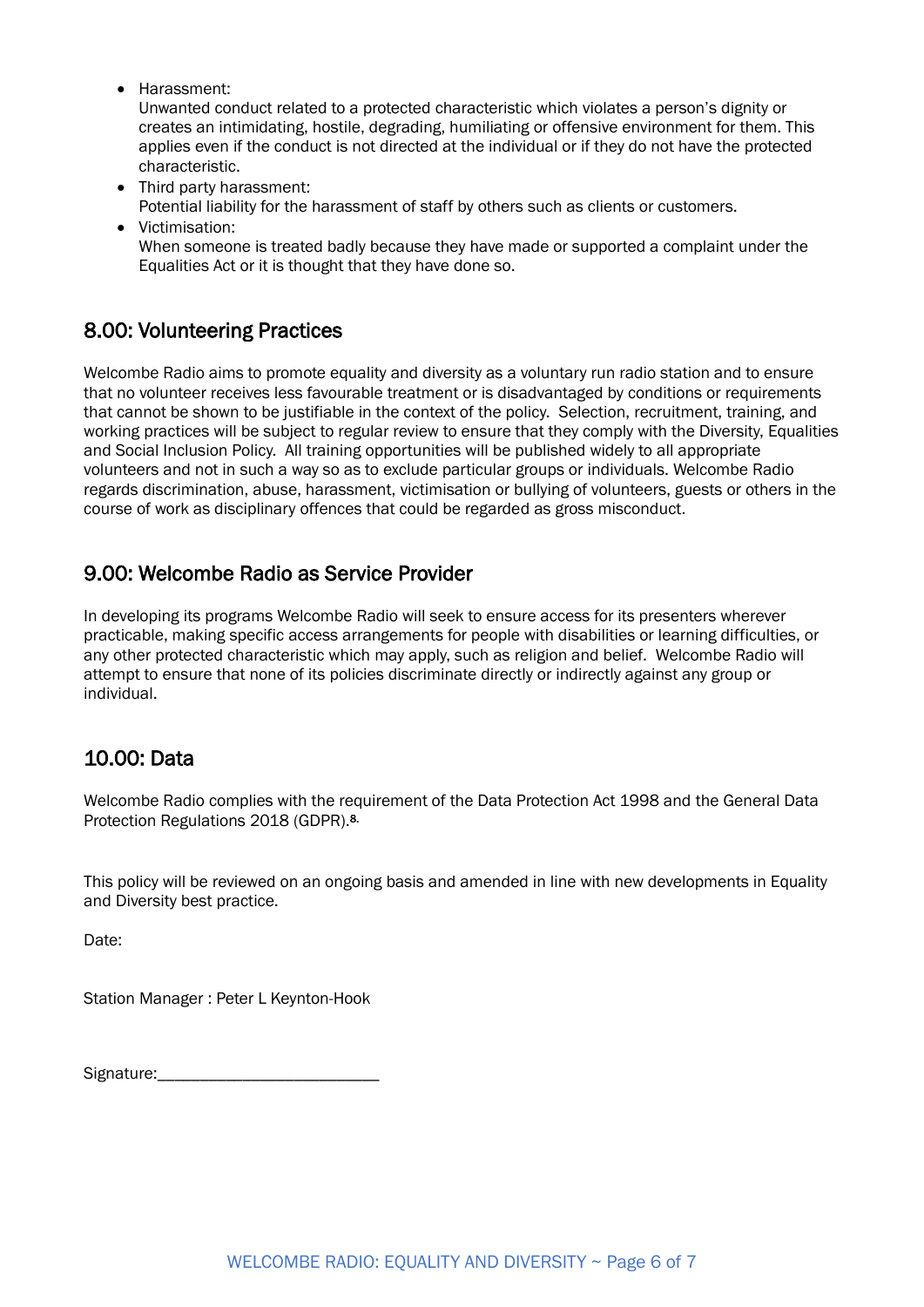• Harassment:

Unwanted conduct related to a protected characteristic which violates a person's dignity or creates an intimidating, hostile, degrading, humiliating or offensive environment for them. This applies even if the conduct is not directed at the individual or if they do not have the protected characteristic.

- Third party harassment:
	- Potential liability for the harassment of staff by others such as clients or customers.
- Victimisation: When someone is treated badly because they have made or supported a complaint under the Equalities Act or it is thought that they have done so.

#### 8.00: Volunteering Practices

Welcombe Radio aims to promote equality and diversity as a voluntary run radio station and to ensure that no volunteer receives less favourable treatment or is disadvantaged by conditions or requirements that cannot be shown to be justifiable in the context of the policy. Selection, recruitment, training, and working practices will be subject to regular review to ensure that they comply with the Diversity, Equalities and Social Inclusion Policy. All training opportunities will be published widely to all appropriate volunteers and not in such a way so as to exclude particular groups or individuals. Welcombe Radio regards discrimination, abuse, harassment, victimisation or bullying of volunteers, guests or others in the course of work as disciplinary offences that could be regarded as gross misconduct.

#### 9.00: Welcombe Radio as Service Provider

In developing its programs Welcombe Radio will seek to ensure access for its presenters wherever practicable, making specific access arrangements for people with disabilities or learning difficulties, or any other protected characteristic which may apply, such as religion and belief. Welcombe Radio will attempt to ensure that none of its policies discriminate directly or indirectly against any group or individual.

## 10.00: Data

Welcombe Radio complies with the requirement of the Data Protection Act 1998 and the General Data Protection Regulations 2018 (GDPR). 8.

This policy will be reviewed on an ongoing basis and amended in line with new developments in Equality and Diversity best practice.

Date:

Station Manager : Peter L Keynton-Hook

Signature:\_\_\_\_\_\_\_\_\_\_\_\_\_\_\_\_\_\_\_\_\_\_\_\_\_\_